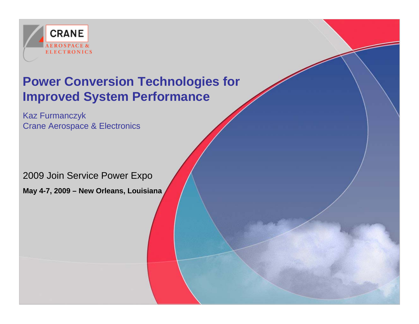

#### **Power Conversion Technologies for Improved System Performance**

Kaz Furmanczyk Crane Aerospace & Electronics

2009 Join Service Power Expo

**May 4-7, 2009 – New Orleans, Louisiana**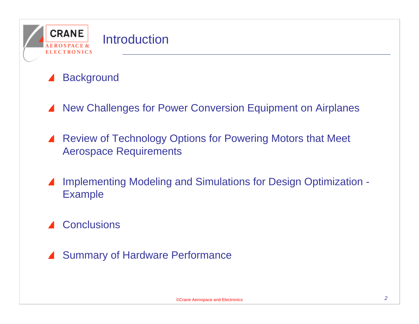

#### **Background**

- New Challenges for Power Conversion Equipment on Airplanes  $\blacktriangle$
- Review of Technology Options for Powering Motors that Meet Aerospace Requirements
- Implementing Modeling and Simulations for Design Optimization Example
- ▲ Conclusions
- Summary of Hardware Performance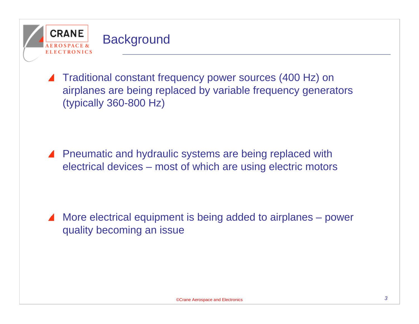

Traditional constant frequency power sources (400 Hz) on airplanes are being replaced by variable frequency generators (typically 360-800 Hz)

▲ Pneumatic and hydraulic systems are being replaced with electrical devices – most of which are using electric motors

More electrical equipment is being added to airplanes – power quality becoming an issue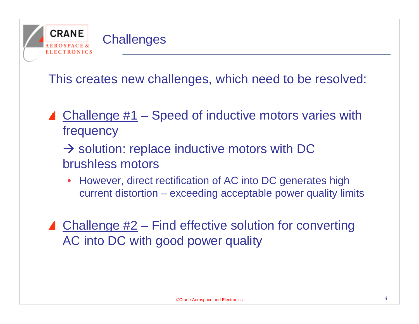

This creates new challenges, which need to be resolved:

- $\triangle$  Challenge #1 Speed of inductive motors varies with frequency
	- $\rightarrow$  solution: replace inductive motors with DC brushless motors
		- However, direct rectification of AC into DC generates high current distortion – exceeding acceptable power quality limits
- $\triangle$  Challenge #2 Find effective solution for converting AC into DC with good power quality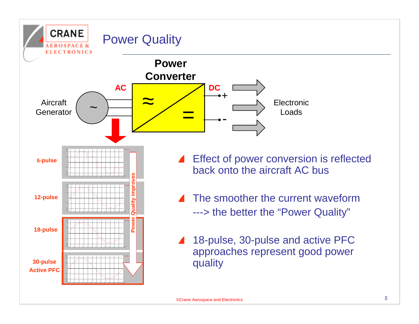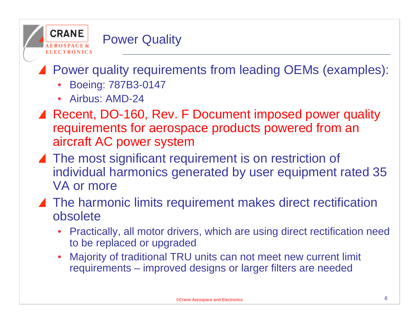

## ▲ Power quality requirements from leading OEMs (examples):

- Boeing: 787B3-0147
- Airbus: AMD-24
- ▲ Recent, DO-160, Rev. F Document imposed power quality requirements for aerospace products powered from an aircraft AC power system
- ▲ The most significant requirement is on restriction of individual harmonics generated by user equipment rated 35 VA or more
- ▲ The harmonic limits requirement makes direct rectification obsolete
	- Practically, all motor drivers, which are using direct rectification need to be replaced or upgraded
	- Majority of traditional TRU units can not meet new current limit requirements – improved designs or larger filters are needed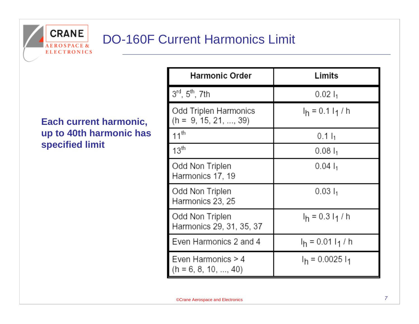

#### **Each current harmonic, up to 40th harmonic has specified limit**

| <b>Harmonic Order</b>                            | Limits               |  |
|--------------------------------------------------|----------------------|--|
| $3^{rd}$ , $5^{th}$ , 7th                        | $0.02 I_1$           |  |
| Odd Triplen Harmonics<br>$(h = 9, 15, 21, , 39)$ | $I_h = 0.1 I_1 / h$  |  |
| $11^{th}$                                        | $0.1 I_1$            |  |
| 13 <sup>th</sup>                                 | $0.081_1$            |  |
| Odd Non Triplen<br>Harmonics 17, 19              | $0.04 \, I_1$        |  |
| Odd Non Triplen<br>Harmonics 23, 25              | $0.031_1$            |  |
| Odd Non Triplen<br>Harmonics 29, 31, 35, 37      | $I_h = 0.3 I_1/h$    |  |
| Even Harmonics 2 and 4                           | $I_h = 0.01 I_1 / h$ |  |
| Even Harmonics > 4<br>(h = 6, 8, 10, , 40)       | $I_h$ = 0.0025 $I_1$ |  |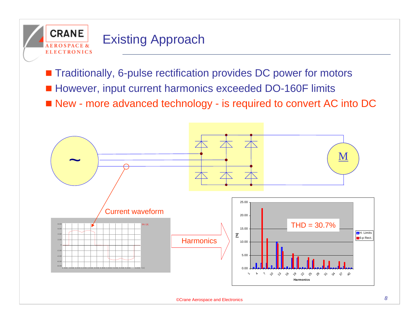

#### Existing Approach

■ Traditionally, 6-pulse rectification provides DC power for motors

- However, input current harmonics exceeded DO-160F limits
- New more advanced technology is required to convert AC into DC

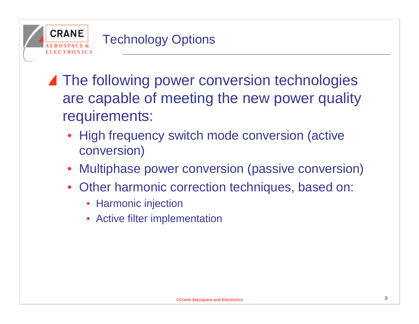

- ▲ The following power conversion technologies are capable of meeting the new power quality requirements:
	- High frequency switch mode conversion (active conversion)
	- Multiphase power conversion (passive conversion)
	- Other harmonic correction techniques, based on:
		- Harmonic injection
		- Active filter implementation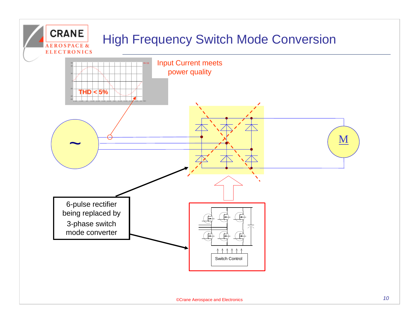## High Frequency Switch Mode Conversion

**CRANE** 

**EROSPACE &** 

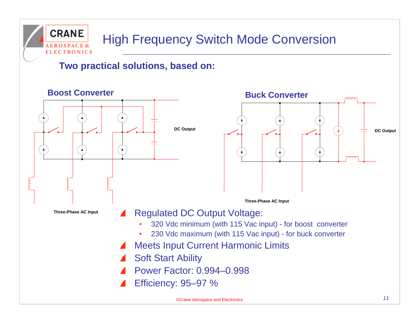#### **CRANE** High Frequency Switch Mode Conversion **ELECTRONICS**

**Two practical solutions, based on:**

#### **Boost Converter**





**Three-Phase AC Input**

**Three-Phase AC Input**

#### Regulated DC Output Voltage:

- 320 Vdc minimum (with 115 Vac input) for boost converter
- 230 Vdc maximum (with 115 Vac input) for buck converter
- Meets Input Current Harmonic Limits
- Soft Start Ability
- Power Factor: 0.994–0.998
- Efficiency: 95–97 %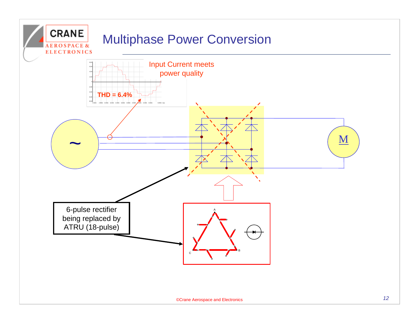## Multiphase Power Conversion

**CRANE** 

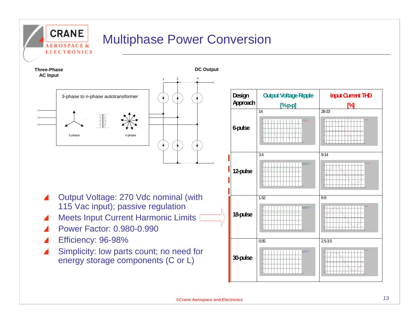## Multiphase Power Conversion



**CRANE** 

**EROSPACE & ELECTRONICS** 

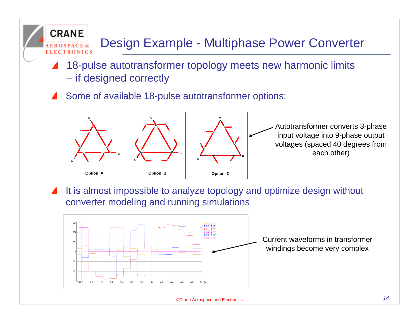## Design Example - Multiphase Power Converter

- 18-pulse autotransformer topology meets new harmonic limits – if designed correctly
- Some of available 18-pulse autotransformer options:

**CRANE** 

**ELECTRONICS** 



Autotransformer converts 3-phase input voltage into 9-phase output voltages (spaced 40 degrees from each other)

It is almost impossible to analyze topology and optimize design without converter modeling and running simulations

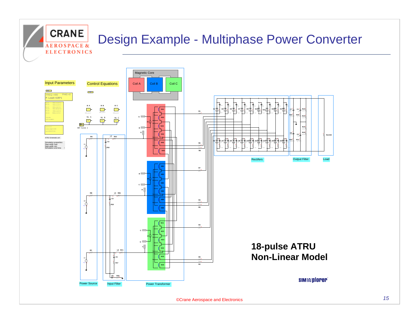## Design Example - Multiphase Power Converter



**CRANE** 

**EROSPACE & ELECTRONICS**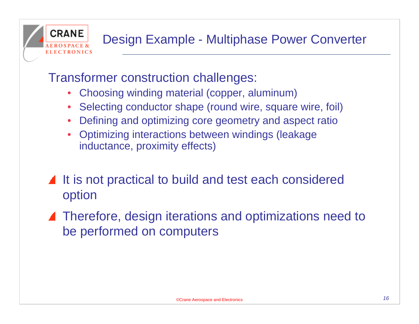

#### Transformer construction challenges:

- Choosing winding material (copper, aluminum)
- Selecting conductor shape (round wire, square wire, foil)
- Defining and optimizing core geometry and aspect ratio
- Optimizing interactions between windings (leakage inductance, proximity effects)
- It is not practical to build and test each considered option
- ▲ Therefore, design iterations and optimizations need to be performed on computers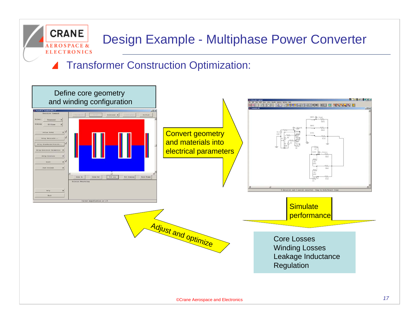## Design Example - Multiphase Power Converter

#### Transformer Construction Optimization:

**CRANE** 

**EROSPACE & ELECTRONICS** 

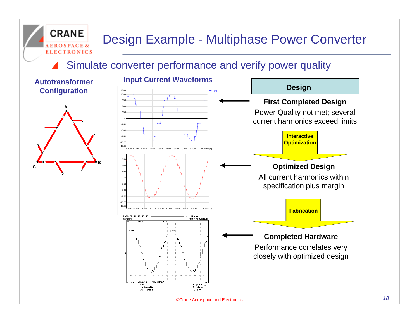## Design Example - Multiphase Power Converter

Simulate converter performance and verify power quality



**CRANE** 

**ROSPACE & ELECTRONICS** 



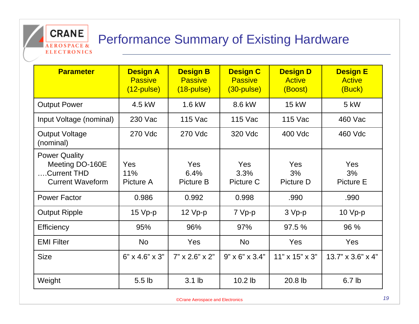## Performance Summary of Existing Hardware

**CRANE** 

**EROSPACE & ELECTRONICS** 

| <b>Parameter</b>                                                                   | <b>Design A</b><br><b>Passive</b><br>$(12$ -pulse) | <b>Design B</b><br><b>Passive</b><br>$(18-pulse)$ | <b>Design C</b><br><b>Passive</b><br>$(30$ -pulse $)$ | <b>Design D</b><br><b>Active</b><br>(Boost) | <b>Design E</b><br><b>Active</b><br>(Buck) |
|------------------------------------------------------------------------------------|----------------------------------------------------|---------------------------------------------------|-------------------------------------------------------|---------------------------------------------|--------------------------------------------|
| <b>Output Power</b>                                                                | 4.5 kW                                             | 1.6 kW                                            | 8.6 kW                                                | <b>15 kW</b>                                | 5 kW                                       |
| Input Voltage (nominal)                                                            | 230 Vac                                            | 115 Vac                                           | 115 Vac                                               | 115 Vac                                     | 460 Vac                                    |
| <b>Output Voltage</b><br>(nominal)                                                 | 270 Vdc                                            | 270 Vdc                                           | 320 Vdc                                               | 400 Vdc                                     | 460 Vdc                                    |
| <b>Power Quality</b><br>Meeting DO-160E<br>.Current THD<br><b>Current Waveform</b> | Yes<br>11%<br>Picture A                            | Yes<br>6.4%<br>Picture B                          | <b>Yes</b><br>3.3%<br>Picture C                       | Yes<br>3%<br>Picture D                      | Yes<br>3%<br><b>Picture E</b>              |
| <b>Power Factor</b>                                                                | 0.986                                              | 0.992                                             | 0.998                                                 | .990                                        | .990                                       |
| <b>Output Ripple</b>                                                               | $15 Vp-p$                                          | $12 Vp-p$                                         | 7 Vp-p                                                | 3 Vp-p                                      | 10 Vp-p                                    |
| Efficiency                                                                         | 95%                                                | 96%                                               | 97%                                                   | 97.5 %                                      | 96 %                                       |
| <b>EMI Filter</b>                                                                  | <b>No</b>                                          | Yes                                               | <b>No</b>                                             | Yes                                         | Yes                                        |
| <b>Size</b>                                                                        | $6" \times 4.6" \times 3"$                         | $7" \times 2.6" \times 2"$                        | $9" \times 6" \times 3.4"$                            | $11" \times 15" \times 3"$                  | $13.7" \times 3.6" \times 4"$              |
| Weight                                                                             | 5.5 <sub>lb</sub>                                  | $3.1$ lb                                          | 10.2 lb                                               | 20.8 lb                                     | 6.7 <sub>lb</sub>                          |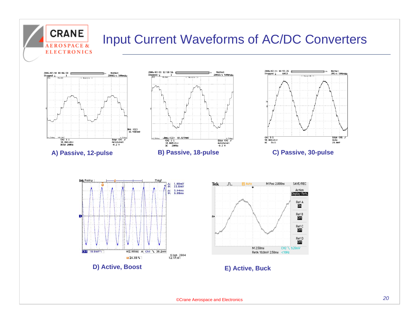

#### Input Current Waveforms of AC/DC Converters









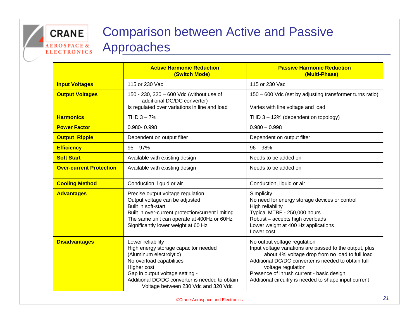#### Comparison between Active and Passive Approaches **ELECTRONICS**

**CRANE** 

**EROSPACE &** 

|                                | <b>Active Harmonic Reduction</b><br>(Switch Mode)                                                                                                                                                                                                           | <b>Passive Harmonic Reduction</b><br>(Multi-Phase)                                                                                                                                                                                                                                                                            |  |  |
|--------------------------------|-------------------------------------------------------------------------------------------------------------------------------------------------------------------------------------------------------------------------------------------------------------|-------------------------------------------------------------------------------------------------------------------------------------------------------------------------------------------------------------------------------------------------------------------------------------------------------------------------------|--|--|
| <b>Input Voltages</b>          | 115 or 230 Vac                                                                                                                                                                                                                                              | 115 or 230 Vac                                                                                                                                                                                                                                                                                                                |  |  |
| <b>Output Voltages</b>         | 150 - 230, 320 - 600 Vdc (without use of<br>additional DC/DC converter)<br>Is regulated over variations in line and load                                                                                                                                    | 150 - 600 Vdc (set by adjusting transformer turns ratio)<br>Varies with line voltage and load                                                                                                                                                                                                                                 |  |  |
| <b>Harmonics</b>               | THD $3 - 7%$                                                                                                                                                                                                                                                | THD $3 - 12\%$ (dependent on topology)                                                                                                                                                                                                                                                                                        |  |  |
| <b>Power Factor</b>            | 0.980-0.998                                                                                                                                                                                                                                                 | $0.980 - 0.998$                                                                                                                                                                                                                                                                                                               |  |  |
| <b>Output Ripple</b>           | Dependent on output filter                                                                                                                                                                                                                                  | Dependent on output filter                                                                                                                                                                                                                                                                                                    |  |  |
| <b>Efficiency</b>              | $95 - 97%$                                                                                                                                                                                                                                                  | $96 - 98%$                                                                                                                                                                                                                                                                                                                    |  |  |
| <b>Soft Start</b>              | Available with existing design                                                                                                                                                                                                                              | Needs to be added on                                                                                                                                                                                                                                                                                                          |  |  |
| <b>Over-current Protection</b> | Available with existing design                                                                                                                                                                                                                              | Needs to be added on                                                                                                                                                                                                                                                                                                          |  |  |
| <b>Cooling Method</b>          | Conduction, liquid or air                                                                                                                                                                                                                                   | Conduction, liquid or air                                                                                                                                                                                                                                                                                                     |  |  |
| <b>Advantages</b>              | Precise output voltage regulation<br>Output voltage can be adjusted<br>Built in soft-start<br>Built in over-current protection/current limiting<br>The same unit can operate at 400Hz or 60Hz<br>Significantly lower weight at 60 Hz                        | Simplicity<br>No need for energy storage devices or control<br>High reliability<br>Typical MTBF - 250,000 hours<br>Robust - accepts high overloads<br>Lower weight at 400 Hz applications<br>Lower cost                                                                                                                       |  |  |
| <b>Disadvantages</b>           | Lower reliability<br>High energy storage capacitor needed<br>(Aluminum electrolytic)<br>No overload capabilities<br>Higher cost<br>Gap in output voltage setting -<br>Additional DC/DC converter is needed to obtain<br>Voltage between 230 Vdc and 320 Vdc | No output voltage regulation<br>Input voltage variations are passed to the output, plus<br>about 4% voltage drop from no load to full load<br>Additional DC/DC converter is needed to obtain full<br>voltage regulation<br>Presence of inrush current - basic design<br>Additional circuitry is needed to shape input current |  |  |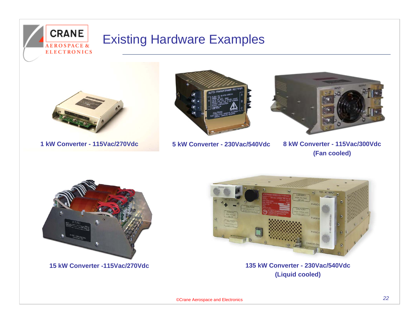



**CRANE** 

**1 kW Converter - 115Vac/270Vdc**



**5 kW Converter - 230Vac/540Vdc**



 **8 kW Converter - 115Vac/300Vdc (Fan cooled)**



**15 kW Converter -115Vac/270Vdc**



**135 kW Converter - 230Vac/540Vdc(Liquid cooled)**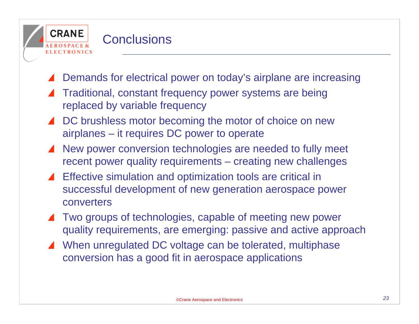

- Demands for electrical power on today's airplane are increasing
- Traditional, constant frequency power systems are being replaced by variable frequency
- DC brushless motor becoming the motor of choice on new airplanes – it requires DC power to operate
- New power conversion technologies are needed to fully meet recent power quality requirements – creating new challenges
- Effective simulation and optimization tools are critical in successful development of new generation aerospace power converters
- Two groups of technologies, capable of meeting new power quality requirements, are emerging: passive and active approach
- When unregulated DC voltage can be tolerated, multiphase conversion has a good fit in aerospace applications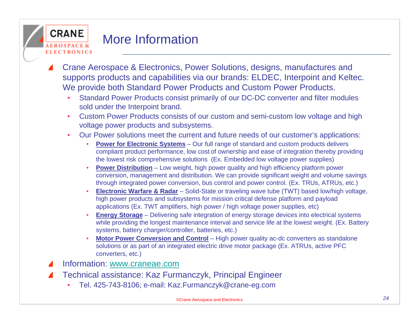#### **CRANE** More InformationELECTRONICS

- Crane Aerospace & Electronics, Power Solutions, designs, manufactures and supports products and capabilities via our brands: ELDEC, Interpoint and Keltec. We provide both Standard Power Products and Custom Power Products.
	- Standard Power Products consist primarily of our DC-DC converter and filter modules sold under the Interpoint brand.
	- Custom Power Products consists of our custom and semi-custom low voltage and high voltage power products and subsystems.
	- Our Power solutions meet the current and future needs of our customer's applications:
		- **Power for Electronic Systems**  Our full range of standard and custom products delivers compliant product performance, low cost of ownership and ease of integration thereby providing the lowest risk comprehensive solutions (Ex. Embedded low voltage power supplies)
		- **Power Distribution** Low weight, high power quality and high efficiency platform power conversion, management and distribution. We can provide significant weight and volume savings through integrated power conversion, bus control and power control. (Ex. TRUs, ATRUs, etc.)
		- **Electronic Warfare & Radar**  Solid-State or traveling wave tube (TWT) based low/high voltage, high power products and subsystems for mission critical defense platform and payload applications (Ex. TWT amplifiers, high power / high voltage power supplies, etc)
		- **Energy Storage**  Delivering safe integration of energy storage devices into electrical systems while providing the longest maintenance interval and service life at the lowest weight. (Ex. Battery systems, battery charger/controller, batteries, etc.)
		- **Motor Power Conversion and Control** High power quality ac-dc converters as standalone solutions or as part of an integrated electric drive motor package (Ex. ATRUs, active PFC converters, etc.)
- Information: [www.craneae.com](http://www.craneae.com/)
- Technical assistance: Kaz Furmanczyk, Principal Engineer
	- Tel. 425-743-8106; e-mail: Kaz.Furmanczyk@crane-eg.com